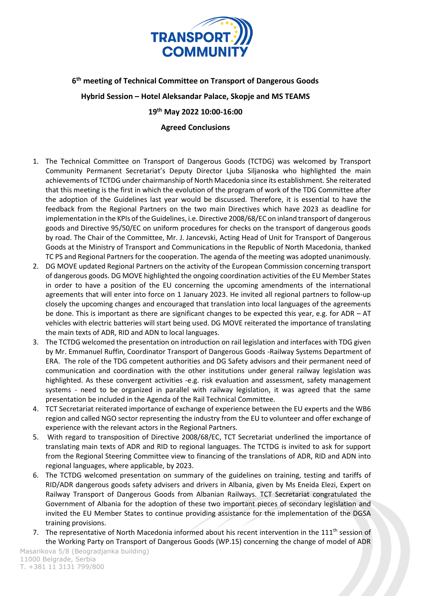

## **6 th meeting of Technical Committee on Transport of Dangerous Goods**

**Hybrid Session – Hotel Aleksandar Palace, Skopje and MS TEAMS**

**19th May 2022 10:00-16:00**

## **Agreed Conclusions**

- 1. The Technical Committee on Transport of Dangerous Goods (TCTDG) was welcomed by Transport Community Permanent Secretariat's Deputy Director Ljuba Siljanoska who highlighted the main achievements of TCTDG under chairmanship of North Macedonia since its establishment. She reiterated that this meeting is the first in which the evolution of the program of work of the TDG Committee after the adoption of the Guidelines last year would be discussed. Therefore, it is essential to have the feedback from the Regional Partners on the two main Directives which have 2023 as deadline for implementation in the KPIs of the Guidelines, i.e. Directive 2008/68/EC on inland transport of dangerous goods and Directive 95/50/EC on uniform procedures for checks on the transport of dangerous goods by road. The Chair of the Committee, Mr. J. Jancevski, Acting Head of Unit for Transport of Dangerous Goods at the Ministry of Transport and Communications in the Republic of North Macedonia, thanked TC PS and Regional Partners for the cooperation. The agenda of the meeting was adopted unanimously.
- 2. DG MOVE updated Regional Partners on the activity of the European Commission concerning transport of dangerous goods. DG MOVE highlighted the ongoing coordination activities of the EU Member States in order to have a position of the EU concerning the upcoming amendments of the international agreements that will enter into force on 1 January 2023. He invited all regional partners to follow-up closely the upcoming changes and encouraged that translation into local languages of the agreements be done. This is important as there are significant changes to be expected this year, e.g. for ADR – AT vehicles with electric batteries will start being used. DG MOVE reiterated the importance of translating the main texts of ADR, RID and ADN to local languages.
- 3. The TCTDG welcomed the presentation on introduction on rail legislation and interfaces with TDG given by Mr. Emmanuel Ruffin, Coordinator Transport of Dangerous Goods -Railway Systems Department of ERA. The role of the TDG competent authorities and DG Safety advisors and their permanent need of communication and coordination with the other institutions under general railway legislation was highlighted. As these convergent activities -e.g. risk evaluation and assessment, safety management systems - need to be organized in parallel with railway legislation, it was agreed that the same presentation be included in the Agenda of the Rail Technical Committee.
- 4. TCT Secretariat reiterated importance of exchange of experience between the EU experts and the WB6 region and called NGO sector representing the industry from the EU to volunteer and offer exchange of experience with the relevant actors in the Regional Partners.
- 5. With regard to transposition of Directive 2008/68/EC, TCT Secretariat underlined the importance of translating main texts of ADR and RID to regional languages. The TCTDG is invited to ask for support from the Regional Steering Committee view to financing of the translations of ADR, RID and ADN into regional languages, where applicable, by 2023.
- 6. The TCTDG welcomed presentation on summary of the guidelines on training, testing and tariffs of RID/ADR dangerous goods safety advisers and drivers in Albania, given by Ms Eneida Elezi, Expert on Railway Transport of Dangerous Goods from Albanian Railways. TCT Secretariat congratulated the Government of Albania for the adoption of these two important pieces of secondary legislation and invited the EU Member States to continue providing assistance for the implementation of the DGSA training provisions.
- 7. The representative of North Macedonia informed about his recent intervention in the  $111^{\text{th}}$  session of the Working Party on Transport of Dangerous Goods (WP.15) concerning the change of model of ADR

Masarikova 5/8 (Beogradjanka building) 11000 Belgrade, Serbia T. +381 11 3131 799/800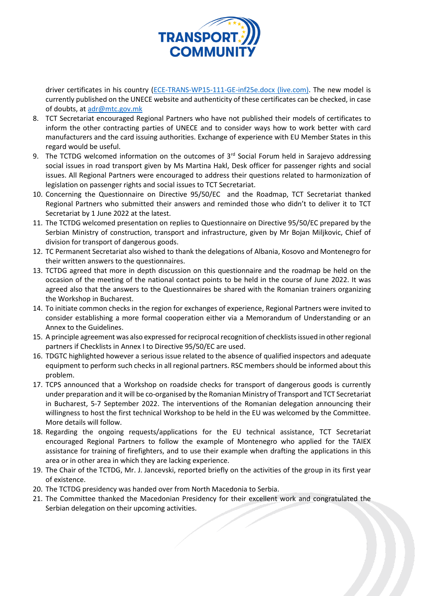

driver certificates in his country [\(ECE-TRANS-WP15-111-GE-inf25e.docx \(live.com\).](https://view.officeapps.live.com/op/view.aspx?src=https%3A%2F%2Funece.org%2Fsites%2Fdefault%2Ffiles%2F2022-05%2FECE-TRANS-WP15-111-GE-inf25e.docx&wdOrigin=BROWSELINK) The new model is currently published on the UNECE website and authenticity of these certificates can be checked, in case of doubts, at [adr@mtc.gov.mk](mailto:adr@mtc.gov.mk)

- 8. TCT Secretariat encouraged Regional Partners who have not published their models of certificates to inform the other contracting parties of UNECE and to consider ways how to work better with card manufacturers and the card issuing authorities. Exchange of experience with EU Member States in this regard would be useful.
- 9. The TCTDG welcomed information on the outcomes of 3<sup>rd</sup> Social Forum held in Sarajevo addressing social issues in road transport given by Ms Martina Hakl, Desk officer for passenger rights and social issues. All Regional Partners were encouraged to address their questions related to harmonization of legislation on passenger rights and social issues to TCT Secretariat.
- 10. Concerning the Questionnaire on Directive 95/50/EC and the Roadmap, TCT Secretariat thanked Regional Partners who submitted their answers and reminded those who didn't to deliver it to TCT Secretariat by 1 June 2022 at the latest.
- 11. The TCTDG welcomed presentation on replies to Questionnaire on Directive 95/50/EC prepared by the Serbian Ministry of construction, transport and infrastructure, given by Mr Bojan Miljkovic, Chief of division for transport of dangerous goods.
- 12. TC Permanent Secretariat also wished to thank the delegations of Albania, Kosovo and Montenegro for their written answers to the questionnaires.
- 13. TCTDG agreed that more in depth discussion on this questionnaire and the roadmap be held on the occasion of the meeting of the national contact points to be held in the course of June 2022. It was agreed also that the answers to the Questionnaires be shared with the Romanian trainers organizing the Workshop in Bucharest.
- 14. To initiate common checks in the region for exchanges of experience, Regional Partners were invited to consider establishing a more formal cooperation either via a Memorandum of Understanding or an Annex to the Guidelines.
- 15. A principle agreement was also expressed for reciprocal recognition of checklists issued in other regional partners if Checklists in Annex I to Directive 95/50/EC are used.
- 16. TDGTC highlighted however a serious issue related to the absence of qualified inspectors and adequate equipment to perform such checks in all regional partners. RSC members should be informed about this problem.
- 17. TCPS announced that a Workshop on roadside checks for transport of dangerous goods is currently under preparation and it will be co-organised by the Romanian Ministry of Transport and TCT Secretariat in Bucharest, 5-7 September 2022. The interventions of the Romanian delegation announcing their willingness to host the first technical Workshop to be held in the EU was welcomed by the Committee. More details will follow.
- 18. Regarding the ongoing requests/applications for the EU technical assistance, TCT Secretariat encouraged Regional Partners to follow the example of Montenegro who applied for the TAIEX assistance for training of firefighters, and to use their example when drafting the applications in this area or in other area in which they are lacking experience.
- 19. The Chair of the TCTDG, Mr. J. Jancevski, reported briefly on the activities of the group in its first year of existence.
- 20. The TCTDG presidency was handed over from North Macedonia to Serbia.
- 21. The Committee thanked the Macedonian Presidency for their excellent work and congratulated the Serbian delegation on their upcoming activities.